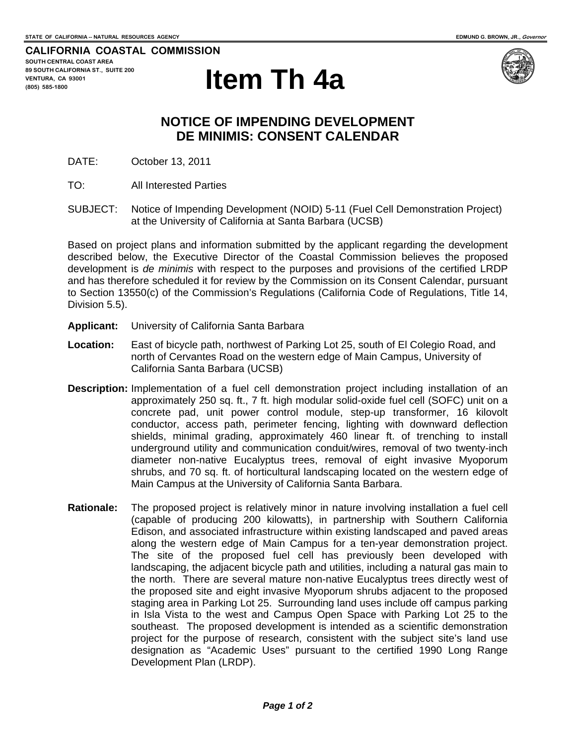**CALIFORNIA COASTAL COMMISSION SOUTH CENTRAL COAST AREA 89 SOUTH CALIFORNIA ST., SUITE 200 VENTURA, CA 93001 (805) 585-1800** 





## **NOTICE OF IMPENDING DEVELOPMENT DE MINIMIS: CONSENT CALENDAR**

DATE: October 13, 2011

- TO: All Interested Parties
- SUBJECT: Notice of Impending Development (NOID) 5-11 (Fuel Cell Demonstration Project) at the University of California at Santa Barbara (UCSB)

Based on project plans and information submitted by the applicant regarding the development described below, the Executive Director of the Coastal Commission believes the proposed development is *de minimis* with respect to the purposes and provisions of the certified LRDP and has therefore scheduled it for review by the Commission on its Consent Calendar, pursuant to Section 13550(c) of the Commission's Regulations (California Code of Regulations, Title 14, Division 5.5).

- **Applicant:** University of California Santa Barbara
- **Location:** East of bicycle path, northwest of Parking Lot 25, south of El Colegio Road, and north of Cervantes Road on the western edge of Main Campus, University of California Santa Barbara (UCSB)
- **Description:** Implementation of a fuel cell demonstration project including installation of an approximately 250 sq. ft., 7 ft. high modular solid-oxide fuel cell (SOFC) unit on a concrete pad, unit power control module, step-up transformer, 16 kilovolt conductor, access path, perimeter fencing, lighting with downward deflection shields, minimal grading, approximately 460 linear ft. of trenching to install underground utility and communication conduit/wires, removal of two twenty-inch diameter non-native Eucalyptus trees, removal of eight invasive Myoporum shrubs, and 70 sq. ft. of horticultural landscaping located on the western edge of Main Campus at the University of California Santa Barbara.
- **Rationale:** The proposed project is relatively minor in nature involving installation a fuel cell (capable of producing 200 kilowatts), in partnership with Southern California Edison, and associated infrastructure within existing landscaped and paved areas along the western edge of Main Campus for a ten-year demonstration project. The site of the proposed fuel cell has previously been developed with landscaping, the adjacent bicycle path and utilities, including a natural gas main to the north. There are several mature non-native Eucalyptus trees directly west of the proposed site and eight invasive Myoporum shrubs adjacent to the proposed staging area in Parking Lot 25. Surrounding land uses include off campus parking in Isla Vista to the west and Campus Open Space with Parking Lot 25 to the southeast. The proposed development is intended as a scientific demonstration project for the purpose of research, consistent with the subject site's land use designation as "Academic Uses" pursuant to the certified 1990 Long Range Development Plan (LRDP).